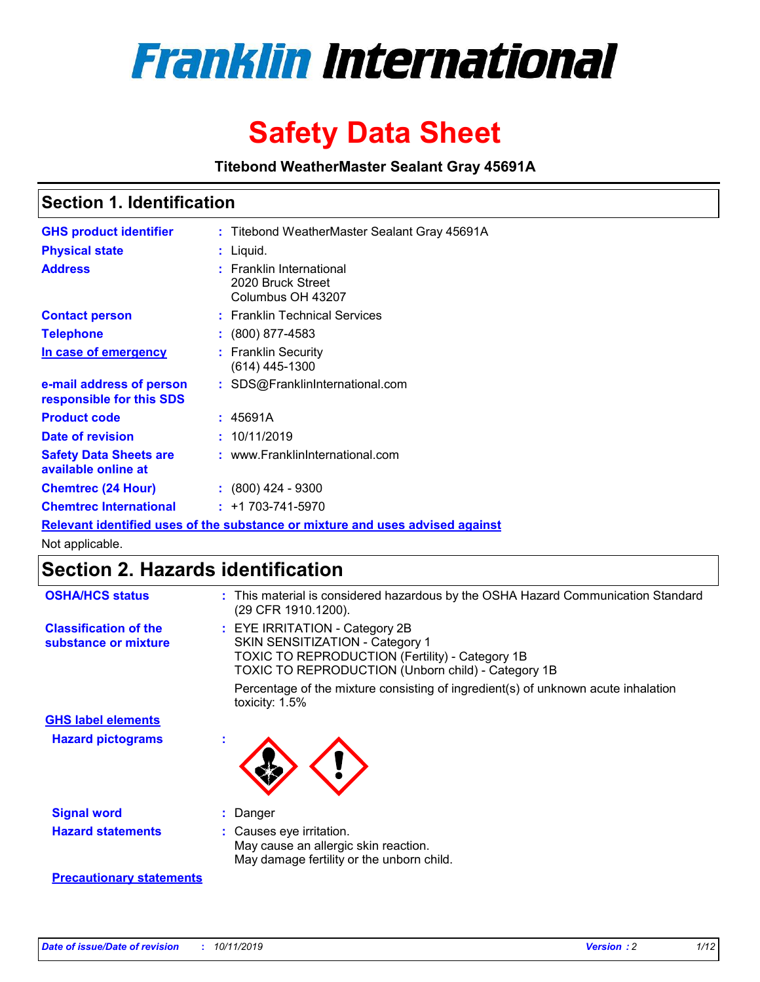

# **Safety Data Sheet**

**Titebond WeatherMaster Sealant Gray 45691A**

## **Section 1. Identification**

| <b>GHS product identifier</b>                        | : Titebond WeatherMaster Sealant Gray 45691A                                  |
|------------------------------------------------------|-------------------------------------------------------------------------------|
| <b>Physical state</b>                                | : Liquid.                                                                     |
| <b>Address</b>                                       | : Franklin International<br>2020 Bruck Street<br>Columbus OH 43207            |
| <b>Contact person</b>                                | : Franklin Technical Services                                                 |
| <b>Telephone</b>                                     | $\colon$ (800) 877-4583                                                       |
| In case of emergency                                 | : Franklin Security<br>(614) 445-1300                                         |
| e-mail address of person<br>responsible for this SDS | : SDS@FranklinInternational.com                                               |
| <b>Product code</b>                                  | : 45691A                                                                      |
| Date of revision                                     | : 10/11/2019                                                                  |
| <b>Safety Data Sheets are</b><br>available online at | : www.FranklinInternational.com                                               |
| <b>Chemtrec (24 Hour)</b>                            | $: (800)$ 424 - 9300                                                          |
| <b>Chemtrec International</b>                        | $: +1703 - 741 - 5970$                                                        |
|                                                      | Relevant identified uses of the substance or mixture and uses advised against |

Not applicable.

## **Section 2. Hazards identification**

| <b>OSHA/HCS status</b>                               | : This material is considered hazardous by the OSHA Hazard Communication Standard<br>(29 CFR 1910.1200).                                                                          |
|------------------------------------------------------|-----------------------------------------------------------------------------------------------------------------------------------------------------------------------------------|
| <b>Classification of the</b><br>substance or mixture | : EYE IRRITATION - Category 2B<br>SKIN SENSITIZATION - Category 1<br><b>TOXIC TO REPRODUCTION (Fertility) - Category 1B</b><br>TOXIC TO REPRODUCTION (Unborn child) - Category 1B |
|                                                      | Percentage of the mixture consisting of ingredient(s) of unknown acute inhalation<br>toxicity: $1.5\%$                                                                            |
| <b>GHS label elements</b>                            |                                                                                                                                                                                   |
| <b>Hazard pictograms</b>                             |                                                                                                                                                                                   |
| <b>Signal word</b>                                   | : Danger                                                                                                                                                                          |
| <b>Hazard statements</b>                             | : Causes eye irritation.<br>May cause an allergic skin reaction.<br>May damage fertility or the unborn child.                                                                     |
| <b>Precautionary statements</b>                      |                                                                                                                                                                                   |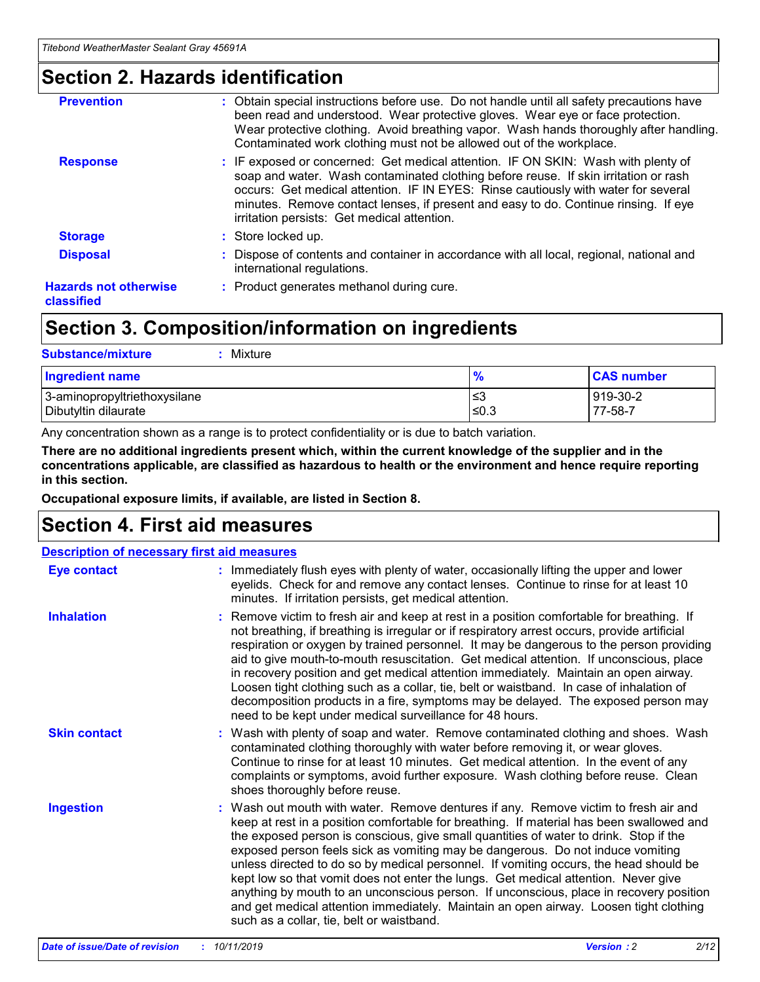## **Section 2. Hazards identification**

| <b>Prevention</b>                          | : Obtain special instructions before use. Do not handle until all safety precautions have<br>been read and understood. Wear protective gloves. Wear eye or face protection.<br>Wear protective clothing. Avoid breathing vapor. Wash hands thoroughly after handling.<br>Contaminated work clothing must not be allowed out of the workplace.                                                        |
|--------------------------------------------|------------------------------------------------------------------------------------------------------------------------------------------------------------------------------------------------------------------------------------------------------------------------------------------------------------------------------------------------------------------------------------------------------|
| <b>Response</b>                            | : IF exposed or concerned: Get medical attention. IF ON SKIN: Wash with plenty of<br>soap and water. Wash contaminated clothing before reuse. If skin irritation or rash<br>occurs: Get medical attention. IF IN EYES: Rinse cautiously with water for several<br>minutes. Remove contact lenses, if present and easy to do. Continue rinsing. If eye<br>irritation persists: Get medical attention. |
| <b>Storage</b>                             | : Store locked up.                                                                                                                                                                                                                                                                                                                                                                                   |
| <b>Disposal</b>                            | : Dispose of contents and container in accordance with all local, regional, national and<br>international regulations.                                                                                                                                                                                                                                                                               |
| <b>Hazards not otherwise</b><br>classified | : Product generates methanol during cure.                                                                                                                                                                                                                                                                                                                                                            |
|                                            |                                                                                                                                                                                                                                                                                                                                                                                                      |

## **Section 3. Composition/information on ingredients**

| <b>Substance/mixture</b><br>: Mixture                |               |                     |
|------------------------------------------------------|---------------|---------------------|
| Ingredient name                                      | $\frac{9}{6}$ | <b>CAS number</b>   |
| 3-aminopropyltriethoxysilane<br>Dibutyltin dilaurate | צ≥<br>≤0.3    | 919-30-2<br>77-58-7 |

Any concentration shown as a range is to protect confidentiality or is due to batch variation.

**There are no additional ingredients present which, within the current knowledge of the supplier and in the concentrations applicable, are classified as hazardous to health or the environment and hence require reporting in this section.**

**Occupational exposure limits, if available, are listed in Section 8.**

## **Section 4. First aid measures**

| <b>Description of necessary first aid measures</b> |                                                                                                                                                                                                                                                                                                                                                                                                                                                                                                                                                                                                                                                                                                                                                                           |  |  |  |
|----------------------------------------------------|---------------------------------------------------------------------------------------------------------------------------------------------------------------------------------------------------------------------------------------------------------------------------------------------------------------------------------------------------------------------------------------------------------------------------------------------------------------------------------------------------------------------------------------------------------------------------------------------------------------------------------------------------------------------------------------------------------------------------------------------------------------------------|--|--|--|
| <b>Eye contact</b>                                 | : Immediately flush eyes with plenty of water, occasionally lifting the upper and lower<br>eyelids. Check for and remove any contact lenses. Continue to rinse for at least 10<br>minutes. If irritation persists, get medical attention.                                                                                                                                                                                                                                                                                                                                                                                                                                                                                                                                 |  |  |  |
| <b>Inhalation</b>                                  | : Remove victim to fresh air and keep at rest in a position comfortable for breathing. If<br>not breathing, if breathing is irregular or if respiratory arrest occurs, provide artificial<br>respiration or oxygen by trained personnel. It may be dangerous to the person providing<br>aid to give mouth-to-mouth resuscitation. Get medical attention. If unconscious, place<br>in recovery position and get medical attention immediately. Maintain an open airway.<br>Loosen tight clothing such as a collar, tie, belt or waistband. In case of inhalation of<br>decomposition products in a fire, symptoms may be delayed. The exposed person may<br>need to be kept under medical surveillance for 48 hours.                                                       |  |  |  |
| <b>Skin contact</b>                                | : Wash with plenty of soap and water. Remove contaminated clothing and shoes. Wash<br>contaminated clothing thoroughly with water before removing it, or wear gloves.<br>Continue to rinse for at least 10 minutes. Get medical attention. In the event of any<br>complaints or symptoms, avoid further exposure. Wash clothing before reuse. Clean<br>shoes thoroughly before reuse.                                                                                                                                                                                                                                                                                                                                                                                     |  |  |  |
| <b>Ingestion</b>                                   | : Wash out mouth with water. Remove dentures if any. Remove victim to fresh air and<br>keep at rest in a position comfortable for breathing. If material has been swallowed and<br>the exposed person is conscious, give small quantities of water to drink. Stop if the<br>exposed person feels sick as vomiting may be dangerous. Do not induce vomiting<br>unless directed to do so by medical personnel. If vomiting occurs, the head should be<br>kept low so that vomit does not enter the lungs. Get medical attention. Never give<br>anything by mouth to an unconscious person. If unconscious, place in recovery position<br>and get medical attention immediately. Maintain an open airway. Loosen tight clothing<br>such as a collar, tie, belt or waistband. |  |  |  |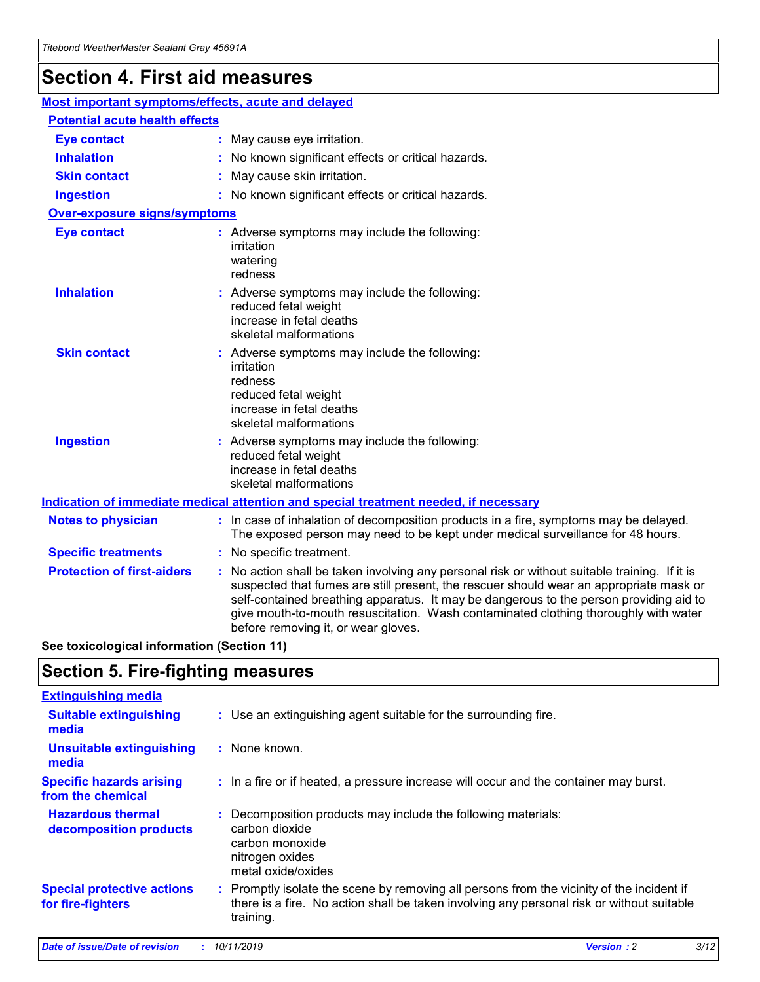## **Section 4. First aid measures**

| Most important symptoms/effects, acute and delayed |                                       |                                                                                                                                                                                                                                                                                                                                                                                                                 |  |  |  |
|----------------------------------------------------|---------------------------------------|-----------------------------------------------------------------------------------------------------------------------------------------------------------------------------------------------------------------------------------------------------------------------------------------------------------------------------------------------------------------------------------------------------------------|--|--|--|
|                                                    | <b>Potential acute health effects</b> |                                                                                                                                                                                                                                                                                                                                                                                                                 |  |  |  |
| <b>Eye contact</b>                                 |                                       | : May cause eye irritation.                                                                                                                                                                                                                                                                                                                                                                                     |  |  |  |
| <b>Inhalation</b>                                  |                                       | : No known significant effects or critical hazards.                                                                                                                                                                                                                                                                                                                                                             |  |  |  |
| <b>Skin contact</b>                                |                                       | : May cause skin irritation.                                                                                                                                                                                                                                                                                                                                                                                    |  |  |  |
| <b>Ingestion</b>                                   |                                       | : No known significant effects or critical hazards.                                                                                                                                                                                                                                                                                                                                                             |  |  |  |
| Over-exposure signs/symptoms                       |                                       |                                                                                                                                                                                                                                                                                                                                                                                                                 |  |  |  |
| <b>Eye contact</b>                                 |                                       | : Adverse symptoms may include the following:<br>irritation<br>watering<br>redness                                                                                                                                                                                                                                                                                                                              |  |  |  |
| <b>Inhalation</b>                                  |                                       | : Adverse symptoms may include the following:<br>reduced fetal weight<br>increase in fetal deaths<br>skeletal malformations                                                                                                                                                                                                                                                                                     |  |  |  |
| <b>Skin contact</b>                                |                                       | : Adverse symptoms may include the following:<br>irritation<br>redness<br>reduced fetal weight<br>increase in fetal deaths<br>skeletal malformations                                                                                                                                                                                                                                                            |  |  |  |
| <b>Ingestion</b>                                   |                                       | : Adverse symptoms may include the following:<br>reduced fetal weight<br>increase in fetal deaths<br>skeletal malformations                                                                                                                                                                                                                                                                                     |  |  |  |
|                                                    |                                       | <b>Indication of immediate medical attention and special treatment needed, if necessary</b>                                                                                                                                                                                                                                                                                                                     |  |  |  |
| <b>Notes to physician</b>                          |                                       | : In case of inhalation of decomposition products in a fire, symptoms may be delayed.<br>The exposed person may need to be kept under medical surveillance for 48 hours.                                                                                                                                                                                                                                        |  |  |  |
| <b>Specific treatments</b>                         |                                       | : No specific treatment.                                                                                                                                                                                                                                                                                                                                                                                        |  |  |  |
| <b>Protection of first-aiders</b>                  |                                       | : No action shall be taken involving any personal risk or without suitable training. If it is<br>suspected that fumes are still present, the rescuer should wear an appropriate mask or<br>self-contained breathing apparatus. It may be dangerous to the person providing aid to<br>give mouth-to-mouth resuscitation. Wash contaminated clothing thoroughly with water<br>before removing it, or wear gloves. |  |  |  |

**See toxicological information (Section 11)**

## **Section 5. Fire-fighting measures**

| <b>Extinguishing media</b>                             |                                                                                                                                                                                                     |
|--------------------------------------------------------|-----------------------------------------------------------------------------------------------------------------------------------------------------------------------------------------------------|
| <b>Suitable extinguishing</b><br>media                 | : Use an extinguishing agent suitable for the surrounding fire.                                                                                                                                     |
| <b>Unsuitable extinguishing</b><br>media               | $:$ None known.                                                                                                                                                                                     |
| <b>Specific hazards arising</b><br>from the chemical   | : In a fire or if heated, a pressure increase will occur and the container may burst.                                                                                                               |
| <b>Hazardous thermal</b><br>decomposition products     | : Decomposition products may include the following materials:<br>carbon dioxide<br>carbon monoxide<br>nitrogen oxides<br>metal oxide/oxides                                                         |
| <b>Special protective actions</b><br>for fire-fighters | : Promptly isolate the scene by removing all persons from the vicinity of the incident if<br>there is a fire. No action shall be taken involving any personal risk or without suitable<br>training. |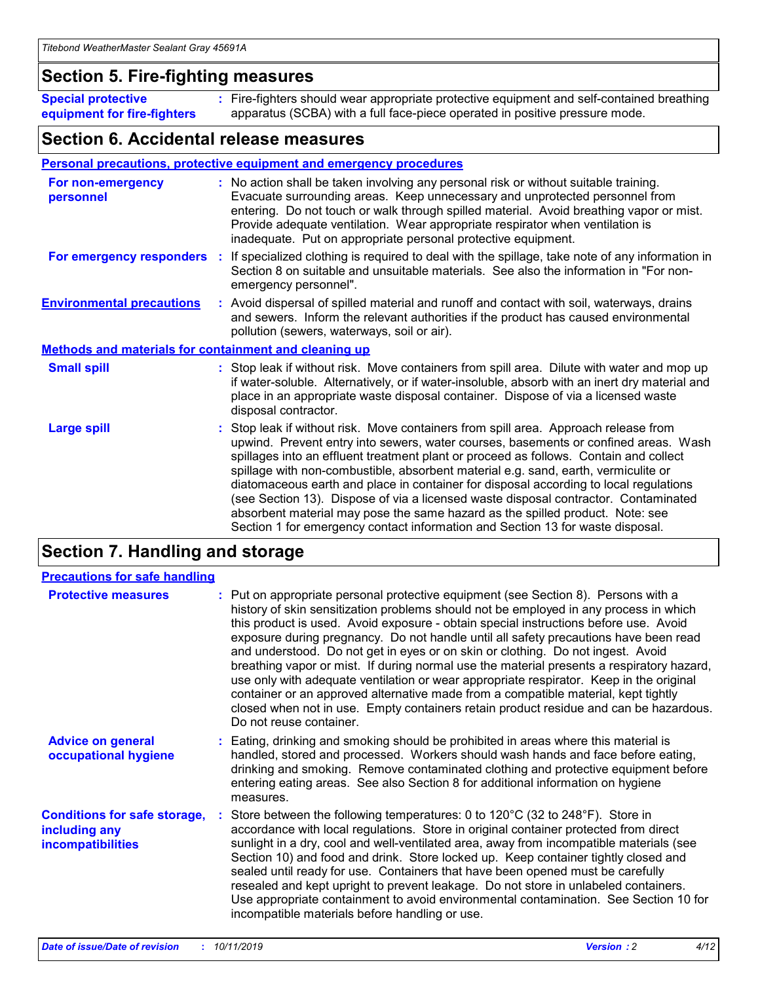## **Section 5. Fire-fighting measures**

**Special protective equipment for fire-fighters** Fire-fighters should wear appropriate protective equipment and self-contained breathing **:** apparatus (SCBA) with a full face-piece operated in positive pressure mode.

## **Section 6. Accidental release measures**

### **Personal precautions, protective equipment and emergency procedures**

| For non-emergency<br>personnel                               | : No action shall be taken involving any personal risk or without suitable training.<br>Evacuate surrounding areas. Keep unnecessary and unprotected personnel from<br>entering. Do not touch or walk through spilled material. Avoid breathing vapor or mist.<br>Provide adequate ventilation. Wear appropriate respirator when ventilation is<br>inadequate. Put on appropriate personal protective equipment.                                                                                                                                                                                                                                                                                             |
|--------------------------------------------------------------|--------------------------------------------------------------------------------------------------------------------------------------------------------------------------------------------------------------------------------------------------------------------------------------------------------------------------------------------------------------------------------------------------------------------------------------------------------------------------------------------------------------------------------------------------------------------------------------------------------------------------------------------------------------------------------------------------------------|
|                                                              | For emergency responders : If specialized clothing is required to deal with the spillage, take note of any information in<br>Section 8 on suitable and unsuitable materials. See also the information in "For non-<br>emergency personnel".                                                                                                                                                                                                                                                                                                                                                                                                                                                                  |
| <b>Environmental precautions</b>                             | : Avoid dispersal of spilled material and runoff and contact with soil, waterways, drains<br>and sewers. Inform the relevant authorities if the product has caused environmental<br>pollution (sewers, waterways, soil or air).                                                                                                                                                                                                                                                                                                                                                                                                                                                                              |
| <b>Methods and materials for containment and cleaning up</b> |                                                                                                                                                                                                                                                                                                                                                                                                                                                                                                                                                                                                                                                                                                              |
| <b>Small spill</b>                                           | : Stop leak if without risk. Move containers from spill area. Dilute with water and mop up<br>if water-soluble. Alternatively, or if water-insoluble, absorb with an inert dry material and<br>place in an appropriate waste disposal container. Dispose of via a licensed waste<br>disposal contractor.                                                                                                                                                                                                                                                                                                                                                                                                     |
| <b>Large spill</b>                                           | : Stop leak if without risk. Move containers from spill area. Approach release from<br>upwind. Prevent entry into sewers, water courses, basements or confined areas. Wash<br>spillages into an effluent treatment plant or proceed as follows. Contain and collect<br>spillage with non-combustible, absorbent material e.g. sand, earth, vermiculite or<br>diatomaceous earth and place in container for disposal according to local regulations<br>(see Section 13). Dispose of via a licensed waste disposal contractor. Contaminated<br>absorbent material may pose the same hazard as the spilled product. Note: see<br>Section 1 for emergency contact information and Section 13 for waste disposal. |

## **Section 7. Handling and storage**

| <b>Precautions for safe handling</b>                                             |                                                                                                                                                                                                                                                                                                                                                                                                                                                                                                                                                                                                                                                                                                                                                                                                                                                  |
|----------------------------------------------------------------------------------|--------------------------------------------------------------------------------------------------------------------------------------------------------------------------------------------------------------------------------------------------------------------------------------------------------------------------------------------------------------------------------------------------------------------------------------------------------------------------------------------------------------------------------------------------------------------------------------------------------------------------------------------------------------------------------------------------------------------------------------------------------------------------------------------------------------------------------------------------|
| <b>Protective measures</b>                                                       | : Put on appropriate personal protective equipment (see Section 8). Persons with a<br>history of skin sensitization problems should not be employed in any process in which<br>this product is used. Avoid exposure - obtain special instructions before use. Avoid<br>exposure during pregnancy. Do not handle until all safety precautions have been read<br>and understood. Do not get in eyes or on skin or clothing. Do not ingest. Avoid<br>breathing vapor or mist. If during normal use the material presents a respiratory hazard,<br>use only with adequate ventilation or wear appropriate respirator. Keep in the original<br>container or an approved alternative made from a compatible material, kept tightly<br>closed when not in use. Empty containers retain product residue and can be hazardous.<br>Do not reuse container. |
| <b>Advice on general</b><br>occupational hygiene                                 | : Eating, drinking and smoking should be prohibited in areas where this material is<br>handled, stored and processed. Workers should wash hands and face before eating,<br>drinking and smoking. Remove contaminated clothing and protective equipment before<br>entering eating areas. See also Section 8 for additional information on hygiene<br>measures.                                                                                                                                                                                                                                                                                                                                                                                                                                                                                    |
| <b>Conditions for safe storage,</b><br>including any<br><b>incompatibilities</b> | Store between the following temperatures: 0 to 120°C (32 to 248°F). Store in<br>accordance with local regulations. Store in original container protected from direct<br>sunlight in a dry, cool and well-ventilated area, away from incompatible materials (see<br>Section 10) and food and drink. Store locked up. Keep container tightly closed and<br>sealed until ready for use. Containers that have been opened must be carefully<br>resealed and kept upright to prevent leakage. Do not store in unlabeled containers.<br>Use appropriate containment to avoid environmental contamination. See Section 10 for<br>incompatible materials before handling or use.                                                                                                                                                                         |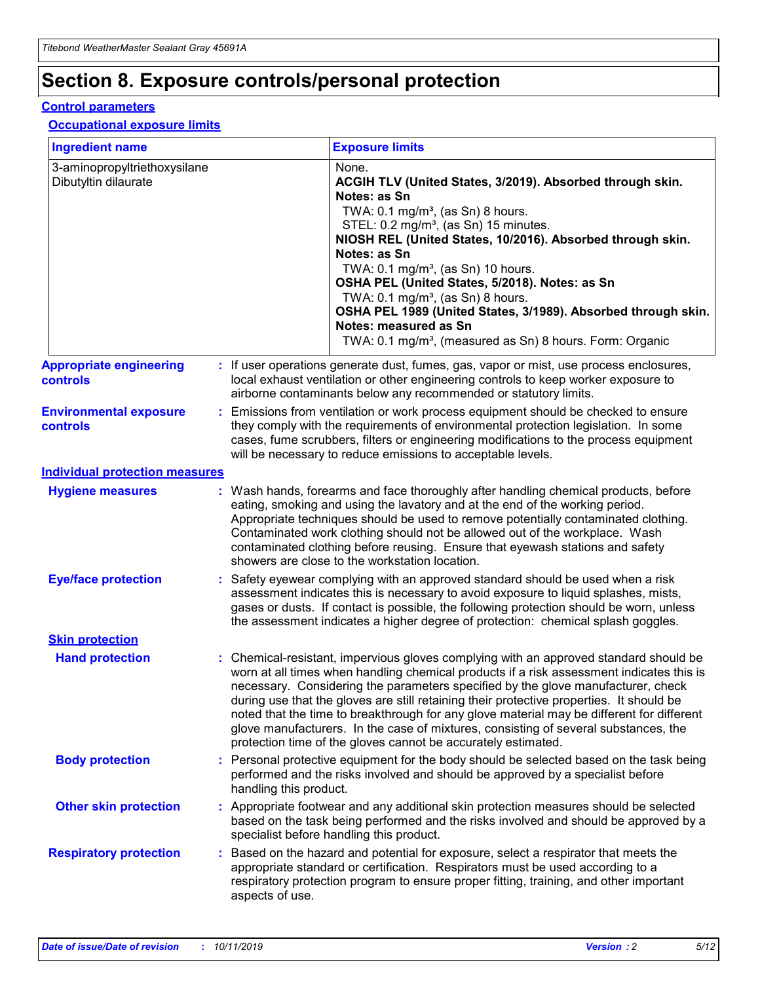## **Section 8. Exposure controls/personal protection**

### **Control parameters**

### **Occupational exposure limits**

| <b>Ingredient name</b>                               |    |                        | <b>Exposure limits</b>                                                                                                                                                                                                                                                                                                                                                                                                                                                                                                                                                                                                 |
|------------------------------------------------------|----|------------------------|------------------------------------------------------------------------------------------------------------------------------------------------------------------------------------------------------------------------------------------------------------------------------------------------------------------------------------------------------------------------------------------------------------------------------------------------------------------------------------------------------------------------------------------------------------------------------------------------------------------------|
| 3-aminopropyltriethoxysilane<br>Dibutyltin dilaurate |    |                        | None.<br>ACGIH TLV (United States, 3/2019). Absorbed through skin.<br>Notes: as Sn<br>TWA: $0.1 \text{ mg/m}^3$ , (as Sn) 8 hours.<br>STEL: 0.2 mg/m <sup>3</sup> , (as Sn) 15 minutes.<br>NIOSH REL (United States, 10/2016). Absorbed through skin.<br>Notes: as Sn<br>TWA: 0.1 mg/m <sup>3</sup> , (as Sn) 10 hours.<br>OSHA PEL (United States, 5/2018). Notes: as Sn<br>TWA: $0.1 \text{ mg/m}^3$ , (as Sn) 8 hours.<br>OSHA PEL 1989 (United States, 3/1989). Absorbed through skin.<br>Notes: measured as Sn<br>TWA: 0.1 mg/m <sup>3</sup> , (measured as Sn) 8 hours. Form: Organic                            |
| <b>Appropriate engineering</b><br>controls           |    |                        | : If user operations generate dust, fumes, gas, vapor or mist, use process enclosures,<br>local exhaust ventilation or other engineering controls to keep worker exposure to<br>airborne contaminants below any recommended or statutory limits.                                                                                                                                                                                                                                                                                                                                                                       |
| <b>Environmental exposure</b><br>controls            |    |                        | Emissions from ventilation or work process equipment should be checked to ensure<br>they comply with the requirements of environmental protection legislation. In some<br>cases, fume scrubbers, filters or engineering modifications to the process equipment<br>will be necessary to reduce emissions to acceptable levels.                                                                                                                                                                                                                                                                                          |
| <b>Individual protection measures</b>                |    |                        |                                                                                                                                                                                                                                                                                                                                                                                                                                                                                                                                                                                                                        |
| <b>Hygiene measures</b>                              |    |                        | : Wash hands, forearms and face thoroughly after handling chemical products, before<br>eating, smoking and using the lavatory and at the end of the working period.<br>Appropriate techniques should be used to remove potentially contaminated clothing.<br>Contaminated work clothing should not be allowed out of the workplace. Wash<br>contaminated clothing before reusing. Ensure that eyewash stations and safety<br>showers are close to the workstation location.                                                                                                                                            |
| <b>Eye/face protection</b>                           |    |                        | : Safety eyewear complying with an approved standard should be used when a risk<br>assessment indicates this is necessary to avoid exposure to liquid splashes, mists,<br>gases or dusts. If contact is possible, the following protection should be worn, unless<br>the assessment indicates a higher degree of protection: chemical splash goggles.                                                                                                                                                                                                                                                                  |
| <b>Skin protection</b>                               |    |                        |                                                                                                                                                                                                                                                                                                                                                                                                                                                                                                                                                                                                                        |
| <b>Hand protection</b>                               |    |                        | : Chemical-resistant, impervious gloves complying with an approved standard should be<br>worn at all times when handling chemical products if a risk assessment indicates this is<br>necessary. Considering the parameters specified by the glove manufacturer, check<br>during use that the gloves are still retaining their protective properties. It should be<br>noted that the time to breakthrough for any glove material may be different for different<br>glove manufacturers. In the case of mixtures, consisting of several substances, the<br>protection time of the gloves cannot be accurately estimated. |
| <b>Body protection</b>                               |    | handling this product. | Personal protective equipment for the body should be selected based on the task being<br>performed and the risks involved and should be approved by a specialist before                                                                                                                                                                                                                                                                                                                                                                                                                                                |
| <b>Other skin protection</b>                         |    |                        | : Appropriate footwear and any additional skin protection measures should be selected<br>based on the task being performed and the risks involved and should be approved by a<br>specialist before handling this product.                                                                                                                                                                                                                                                                                                                                                                                              |
| <b>Respiratory protection</b>                        | ÷. | aspects of use.        | Based on the hazard and potential for exposure, select a respirator that meets the<br>appropriate standard or certification. Respirators must be used according to a<br>respiratory protection program to ensure proper fitting, training, and other important                                                                                                                                                                                                                                                                                                                                                         |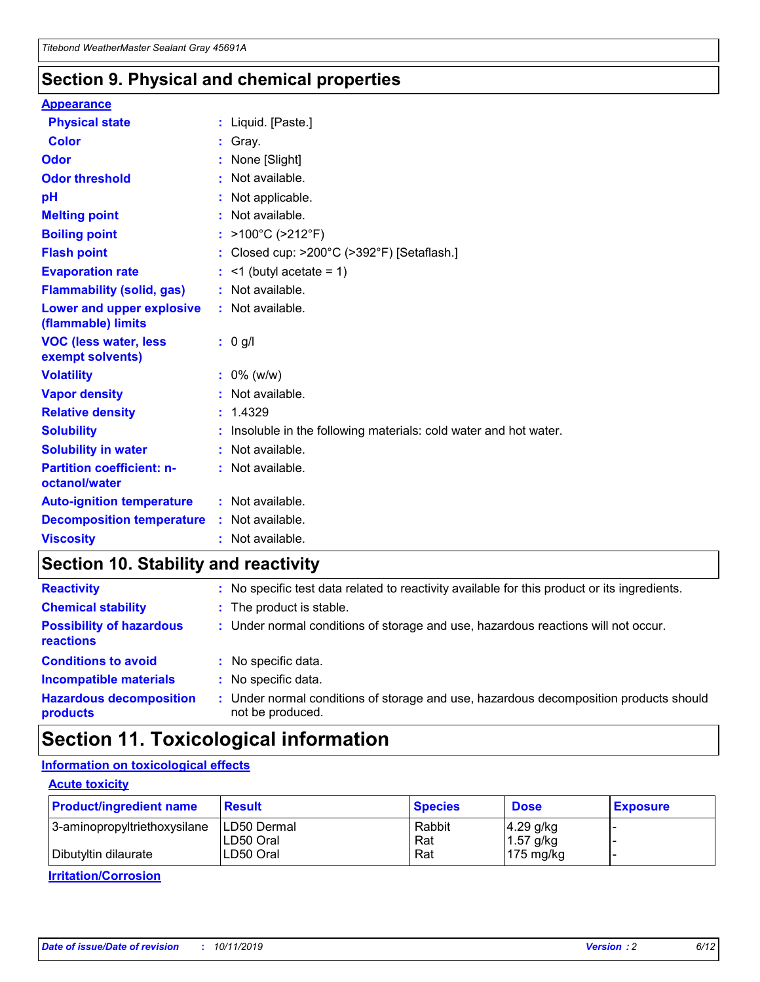## **Section 9. Physical and chemical properties**

### **Appearance**

| <b>Physical state</b>                             | : Liquid. [Paste.]                                                |
|---------------------------------------------------|-------------------------------------------------------------------|
| Color                                             | Gray.                                                             |
| Odor                                              | None [Slight]                                                     |
| <b>Odor threshold</b>                             | : Not available.                                                  |
| рH                                                | : Not applicable.                                                 |
| <b>Melting point</b>                              | : Not available.                                                  |
| <b>Boiling point</b>                              | : $>100^{\circ}$ C ( $>212^{\circ}$ F)                            |
| <b>Flash point</b>                                | : Closed cup: $>200^{\circ}$ C ( $>392^{\circ}$ F) [Setaflash.]   |
| <b>Evaporation rate</b>                           | $:$ <1 (butyl acetate = 1)                                        |
| <b>Flammability (solid, gas)</b>                  | : Not available.                                                  |
| Lower and upper explosive<br>(flammable) limits   | : Not available.                                                  |
| <b>VOC (less water, less</b><br>exempt solvents)  | $: 0$ g/l                                                         |
| <b>Volatility</b>                                 | $: 0\%$ (w/w)                                                     |
| <b>Vapor density</b>                              | : Not available.                                                  |
| <b>Relative density</b>                           | : 1.4329                                                          |
| <b>Solubility</b>                                 | : Insoluble in the following materials: cold water and hot water. |
| <b>Solubility in water</b>                        | : Not available.                                                  |
| <b>Partition coefficient: n-</b><br>octanol/water | : Not available.                                                  |
| <b>Auto-ignition temperature</b>                  | $:$ Not available.                                                |
| <b>Decomposition temperature</b>                  | : Not available.                                                  |
| <b>Viscosity</b>                                  | : Not available.                                                  |

## **Section 10. Stability and reactivity**

| <b>Reactivity</b>                            |    | : No specific test data related to reactivity available for this product or its ingredients.            |
|----------------------------------------------|----|---------------------------------------------------------------------------------------------------------|
| <b>Chemical stability</b>                    |    | : The product is stable.                                                                                |
| <b>Possibility of hazardous</b><br>reactions |    | : Under normal conditions of storage and use, hazardous reactions will not occur.                       |
| <b>Conditions to avoid</b>                   |    | : No specific data.                                                                                     |
| <b>Incompatible materials</b>                | ٠. | No specific data.                                                                                       |
| <b>Hazardous decomposition</b><br>products   | ÷. | Under normal conditions of storage and use, hazardous decomposition products should<br>not be produced. |

## **Section 11. Toxicological information**

## **Information on toxicological effects**

### **Acute toxicity**

| <b>Product/ingredient name</b> | <b>Result</b> | <b>Species</b> | <b>Dose</b>         | <b>Exposure</b> |
|--------------------------------|---------------|----------------|---------------------|-----------------|
| 3-aminopropyltriethoxysilane   | LD50 Dermal   | Rabbit         | $4.29$ g/kg         |                 |
|                                | ILD50 Oral    | Rat            | 1.57 g/kg           |                 |
| Dibutyltin dilaurate           | LD50 Oral     | Rat            | $175 \text{ mg/kg}$ |                 |

**Irritation/Corrosion**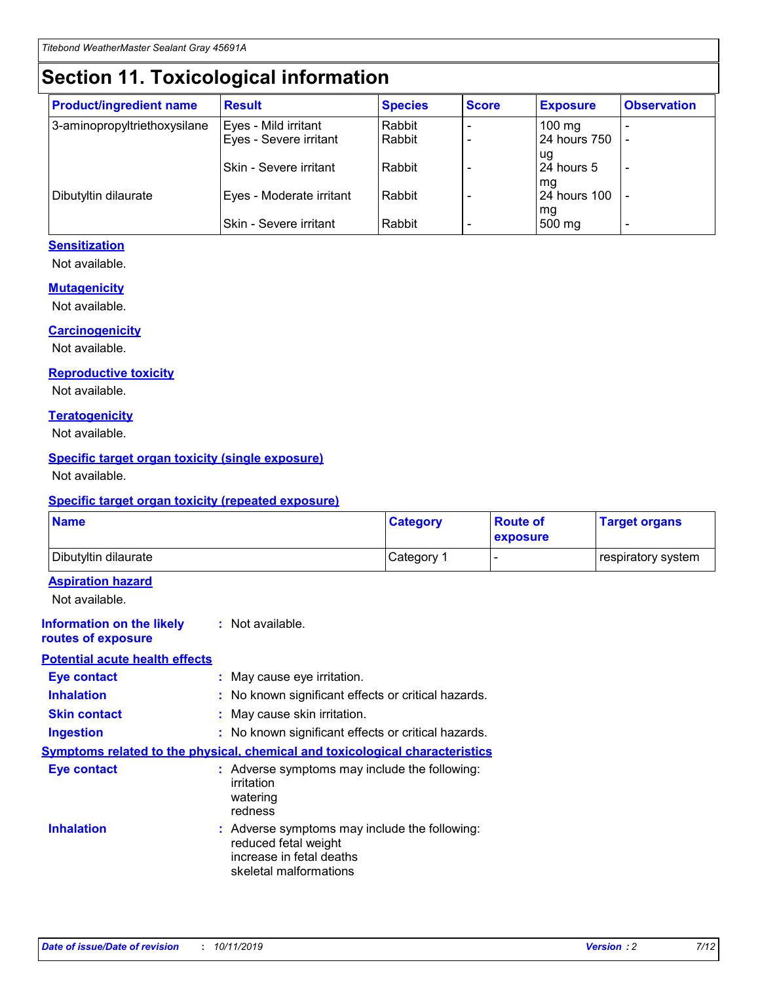## **Section 11. Toxicological information**

| <b>Product/ingredient name</b> | <b>Result</b>            | <b>Species</b> | <b>Score</b> | <b>Exposure</b>           | <b>Observation</b> |
|--------------------------------|--------------------------|----------------|--------------|---------------------------|--------------------|
| 3-aminopropyltriethoxysilane   | Eyes - Mild irritant     | Rabbit         |              | $100$ mg                  |                    |
|                                | Eyes - Severe irritant   | Rabbit         |              | 24 hours 750              |                    |
|                                |                          |                |              | ug                        |                    |
|                                | Skin - Severe irritant   | Rabbit         |              | 24 hours 5                | -                  |
| Dibutyltin dilaurate           | Eyes - Moderate irritant | Rabbit         |              | mg<br><b>24 hours 100</b> |                    |
|                                |                          |                |              | mg                        |                    |
|                                | Skin - Severe irritant   | Rabbit         |              | 500 mg                    | -                  |

### **Sensitization**

Not available.

### **Mutagenicity**

Not available.

#### **Carcinogenicity**

Not available.

#### **Reproductive toxicity**

Not available.

#### **Teratogenicity**

Not available.

### **Specific target organ toxicity (single exposure)**

Not available.

#### **Specific target organ toxicity (repeated exposure)**

| <b>Name</b>                                                                  |                                                                                                                             | <b>Category</b> | <b>Route of</b><br>exposure  | <b>Target organs</b> |
|------------------------------------------------------------------------------|-----------------------------------------------------------------------------------------------------------------------------|-----------------|------------------------------|----------------------|
| Dibutyltin dilaurate                                                         |                                                                                                                             | Category 1      | $\qquad \qquad \blacksquare$ | respiratory system   |
| <b>Aspiration hazard</b><br>Not available.                                   |                                                                                                                             |                 |                              |                      |
| <b>Information on the likely</b><br>routes of exposure                       | : Not available.                                                                                                            |                 |                              |                      |
| <b>Potential acute health effects</b>                                        |                                                                                                                             |                 |                              |                      |
| <b>Eye contact</b>                                                           | : May cause eye irritation.                                                                                                 |                 |                              |                      |
| <b>Inhalation</b>                                                            | : No known significant effects or critical hazards.                                                                         |                 |                              |                      |
| <b>Skin contact</b>                                                          | : May cause skin irritation.                                                                                                |                 |                              |                      |
| <b>Ingestion</b>                                                             | : No known significant effects or critical hazards.                                                                         |                 |                              |                      |
| Symptoms related to the physical, chemical and toxicological characteristics |                                                                                                                             |                 |                              |                      |
| <b>Eye contact</b>                                                           | : Adverse symptoms may include the following:<br>irritation<br>watering<br>redness                                          |                 |                              |                      |
| <b>Inhalation</b>                                                            | : Adverse symptoms may include the following:<br>reduced fetal weight<br>increase in fetal deaths<br>skeletal malformations |                 |                              |                      |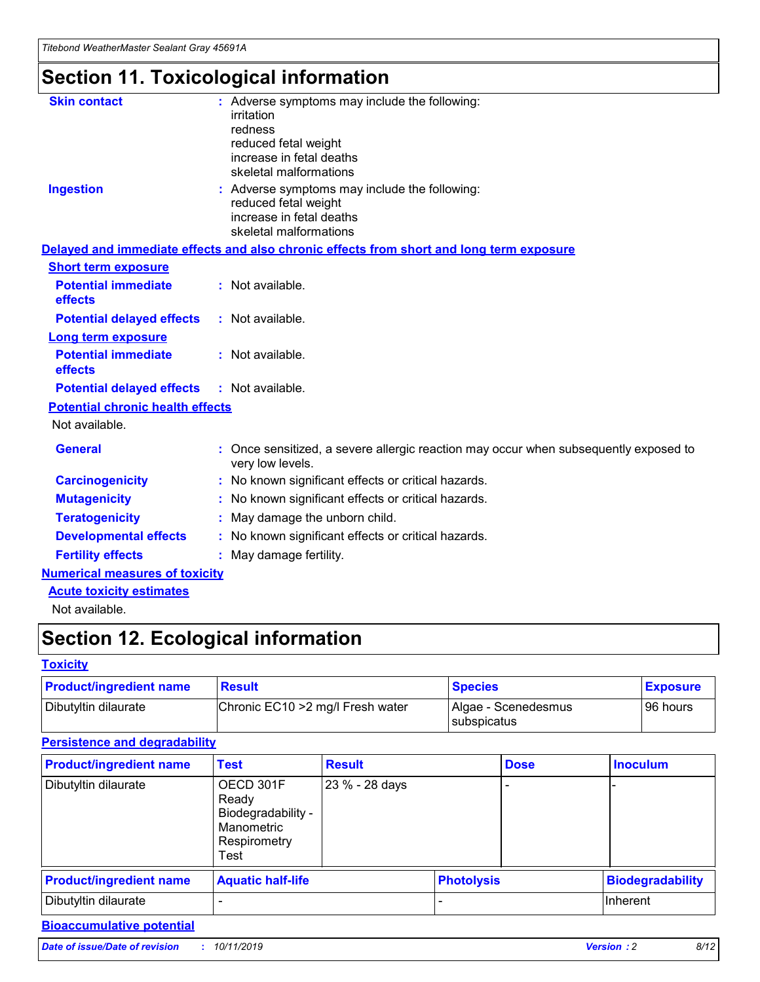# **Section 11. Toxicological information**

| <b>Skin contact</b>                     | : Adverse symptoms may include the following:<br>irritation<br>redness<br>reduced fetal weight<br>increase in fetal deaths<br>skeletal malformations |
|-----------------------------------------|------------------------------------------------------------------------------------------------------------------------------------------------------|
| <b>Ingestion</b>                        | : Adverse symptoms may include the following:<br>reduced fetal weight<br>increase in fetal deaths<br>skeletal malformations                          |
|                                         | Delayed and immediate effects and also chronic effects from short and long term exposure                                                             |
| <b>Short term exposure</b>              |                                                                                                                                                      |
| <b>Potential immediate</b><br>effects   | : Not available.                                                                                                                                     |
| <b>Potential delayed effects</b>        | : Not available.                                                                                                                                     |
| <b>Long term exposure</b>               |                                                                                                                                                      |
| <b>Potential immediate</b><br>effects   | : Not available.                                                                                                                                     |
| <b>Potential delayed effects</b>        | : Not available.                                                                                                                                     |
| <b>Potential chronic health effects</b> |                                                                                                                                                      |
| Not available.                          |                                                                                                                                                      |
| <b>General</b>                          | : Once sensitized, a severe allergic reaction may occur when subsequently exposed to<br>very low levels.                                             |
| <b>Carcinogenicity</b>                  | : No known significant effects or critical hazards.                                                                                                  |
| <b>Mutagenicity</b>                     | No known significant effects or critical hazards.                                                                                                    |
| <b>Teratogenicity</b>                   | May damage the unborn child.                                                                                                                         |
| <b>Developmental effects</b>            | No known significant effects or critical hazards.                                                                                                    |
| <b>Fertility effects</b>                | : May damage fertility.                                                                                                                              |
| <b>Numerical measures of toxicity</b>   |                                                                                                                                                      |
| <b>Acute toxicity estimates</b>         |                                                                                                                                                      |
|                                         |                                                                                                                                                      |

Not available.

## **Section 12. Ecological information**

### **Toxicity**

| <b>Product/ingredient name</b> | <b>Result</b>                     | <b>Species</b>                       | <b>Exposure</b> |
|--------------------------------|-----------------------------------|--------------------------------------|-----------------|
| Dibutyltin dilaurate           | Chronic EC10 > 2 mg/l Fresh water | Algae - Scenedesmus<br>I subspicatus | l 96 hours i    |

## **Persistence and degradability**

| <b>Product/ingredient name</b> | <b>Test</b>                                                                    | <b>Result</b>  |                   | <b>Dose</b> | <b>Inoculum</b>         |
|--------------------------------|--------------------------------------------------------------------------------|----------------|-------------------|-------------|-------------------------|
| Dibutyltin dilaurate           | OECD 301F<br>Ready<br>Biodegradability -<br>Manometric<br>Respirometry<br>Test | 23 % - 28 days |                   |             |                         |
| <b>Product/ingredient name</b> | <b>Aquatic half-life</b>                                                       |                | <b>Photolysis</b> |             | <b>Biodegradability</b> |
| Dibutyltin dilaurate           |                                                                                |                |                   |             | Inherent                |

## **Bioaccumulative potential**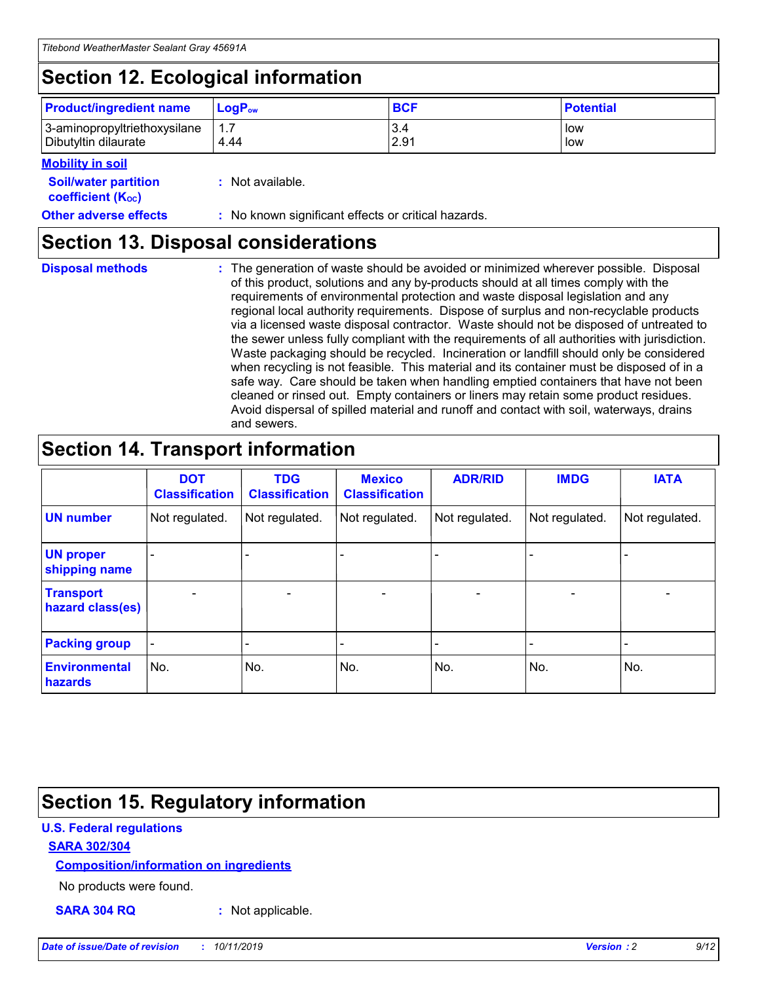## **Section 12. Ecological information**

| <b>Product/ingredient name</b> | $LoaPow$ | <b>BCF</b> | <b>Potential</b> |
|--------------------------------|----------|------------|------------------|
| 3-aminopropyltriethoxysilane   | 1.7      | 3.4        | low              |
| Dibutyltin dilaurate           | 4.44     | 2.91       | low              |

### **Mobility in soil**

| <i></i>                                                       |                                                     |
|---------------------------------------------------------------|-----------------------------------------------------|
| <b>Soil/water partition</b><br>coefficient (K <sub>oc</sub> ) | : Not available.                                    |
| <b>Other adverse effects</b>                                  | : No known significant effects or critical hazards. |

## **Section 13. Disposal considerations**

**Disposal methods :**

The generation of waste should be avoided or minimized wherever possible. Disposal of this product, solutions and any by-products should at all times comply with the requirements of environmental protection and waste disposal legislation and any regional local authority requirements. Dispose of surplus and non-recyclable products via a licensed waste disposal contractor. Waste should not be disposed of untreated to the sewer unless fully compliant with the requirements of all authorities with jurisdiction. Waste packaging should be recycled. Incineration or landfill should only be considered when recycling is not feasible. This material and its container must be disposed of in a safe way. Care should be taken when handling emptied containers that have not been cleaned or rinsed out. Empty containers or liners may retain some product residues. Avoid dispersal of spilled material and runoff and contact with soil, waterways, drains and sewers.

## **Section 14. Transport information**

|                                      | <b>DOT</b><br><b>Classification</b> | <b>TDG</b><br><b>Classification</b> | <b>Mexico</b><br><b>Classification</b> | <b>ADR/RID</b>               | <b>IMDG</b>    | <b>IATA</b>    |
|--------------------------------------|-------------------------------------|-------------------------------------|----------------------------------------|------------------------------|----------------|----------------|
| <b>UN number</b>                     | Not regulated.                      | Not regulated.                      | Not regulated.                         | Not regulated.               | Not regulated. | Not regulated. |
| <b>UN proper</b><br>shipping name    |                                     |                                     |                                        |                              |                |                |
| <b>Transport</b><br>hazard class(es) | $\blacksquare$                      | $\overline{\phantom{0}}$            | $\overline{\phantom{a}}$               | $\qquad \qquad \blacksquare$ | $\blacksquare$ | $\blacksquare$ |
| <b>Packing group</b>                 | $\overline{\phantom{a}}$            | -                                   |                                        | -                            |                | -              |
| <b>Environmental</b><br>hazards      | No.                                 | No.                                 | No.                                    | No.                          | No.            | No.            |

## **Section 15. Regulatory information**

### **U.S. Federal regulations**

### **SARA 302/304**

### **Composition/information on ingredients**

No products were found.

**SARA 304 RQ :** Not applicable.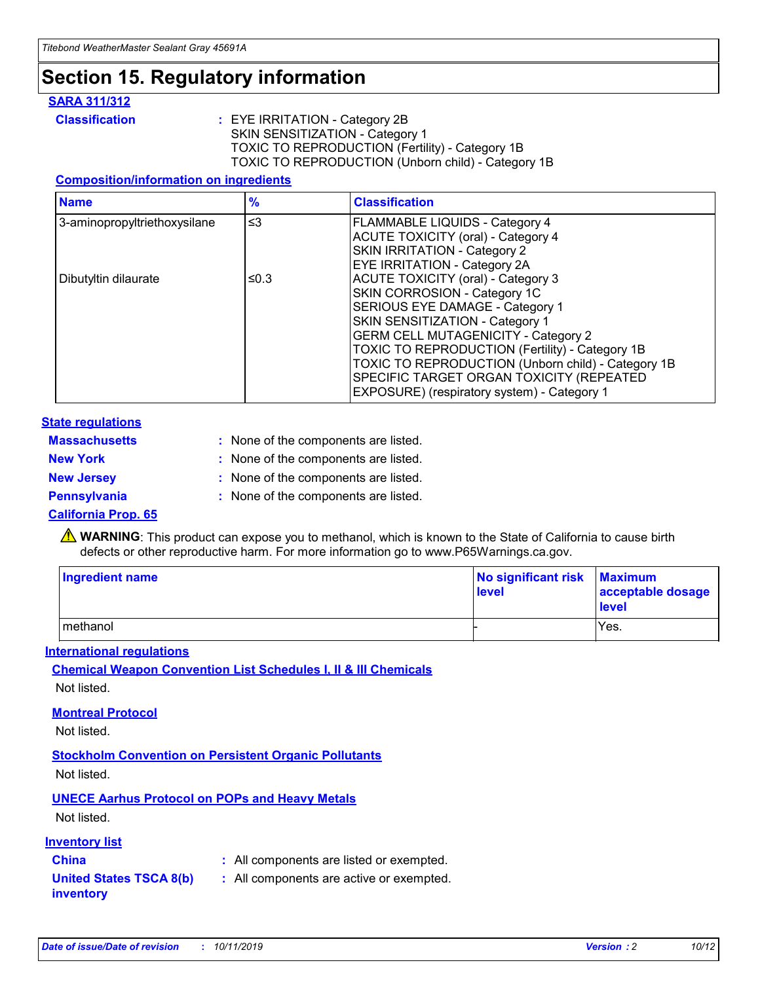## **Section 15. Regulatory information**

### **SARA 311/312**

**Classification :** EYE IRRITATION - Category 2B SKIN SENSITIZATION - Category 1 TOXIC TO REPRODUCTION (Fertility) - Category 1B TOXIC TO REPRODUCTION (Unborn child) - Category 1B

### **Composition/information on ingredients**

| <b>Name</b>                  | $\frac{9}{6}$ | <b>Classification</b>                                                                                            |
|------------------------------|---------------|------------------------------------------------------------------------------------------------------------------|
| 3-aminopropyltriethoxysilane | $\leq$ 3      | <b>FLAMMABLE LIQUIDS - Category 4</b><br><b>ACUTE TOXICITY (oral) - Category 4</b>                               |
|                              |               | SKIN IRRITATION - Category 2<br>EYE IRRITATION - Category 2A                                                     |
| Dibutyltin dilaurate         | ≤0.3          | ACUTE TOXICITY (oral) - Category 3<br>SKIN CORROSION - Category 1C                                               |
|                              |               | SERIOUS EYE DAMAGE - Category 1<br>SKIN SENSITIZATION - Category 1<br><b>GERM CELL MUTAGENICITY - Category 2</b> |
|                              |               | TOXIC TO REPRODUCTION (Fertility) - Category 1B<br>TOXIC TO REPRODUCTION (Unborn child) - Category 1B            |
|                              |               | SPECIFIC TARGET ORGAN TOXICITY (REPEATED<br>EXPOSURE) (respiratory system) - Category 1                          |

### **State regulations**

| <b>Massachusetts</b> | : None of the components are listed. |
|----------------------|--------------------------------------|
| <b>New York</b>      | : None of the components are listed. |
| <b>New Jersey</b>    | : None of the components are listed. |
| <b>Pennsylvania</b>  | : None of the components are listed. |

### **California Prop. 65**

**A** WARNING: This product can expose you to methanol, which is known to the State of California to cause birth defects or other reproductive harm. For more information go to www.P65Warnings.ca.gov.

| <b>Ingredient name</b> | No significant risk Maximum<br>level | acceptable dosage<br>level |
|------------------------|--------------------------------------|----------------------------|
| methanol               |                                      | Yes.                       |

### **International regulations**

**Chemical Weapon Convention List Schedules I, II & III Chemicals** Not listed.

### **Montreal Protocol**

Not listed.

### **Stockholm Convention on Persistent Organic Pollutants**

Not listed.

## **UNECE Aarhus Protocol on POPs and Heavy Metals**

Not listed.

### **Inventory list**

## **China :** All components are listed or exempted.

#### **United States TSCA 8(b) inventory :** All components are active or exempted.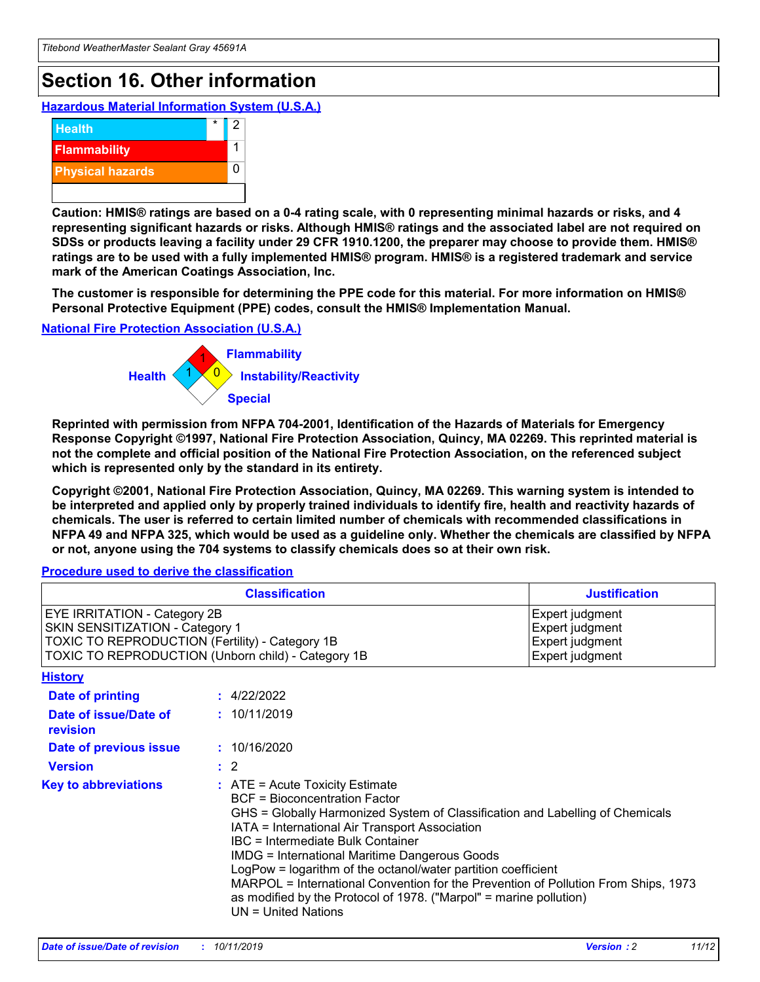## **Section 16. Other information**

**Hazardous Material Information System (U.S.A.)**



**Caution: HMIS® ratings are based on a 0-4 rating scale, with 0 representing minimal hazards or risks, and 4 representing significant hazards or risks. Although HMIS® ratings and the associated label are not required on SDSs or products leaving a facility under 29 CFR 1910.1200, the preparer may choose to provide them. HMIS® ratings are to be used with a fully implemented HMIS® program. HMIS® is a registered trademark and service mark of the American Coatings Association, Inc.**

**The customer is responsible for determining the PPE code for this material. For more information on HMIS® Personal Protective Equipment (PPE) codes, consult the HMIS® Implementation Manual.**

#### **National Fire Protection Association (U.S.A.)**



**Reprinted with permission from NFPA 704-2001, Identification of the Hazards of Materials for Emergency Response Copyright ©1997, National Fire Protection Association, Quincy, MA 02269. This reprinted material is not the complete and official position of the National Fire Protection Association, on the referenced subject which is represented only by the standard in its entirety.**

**Copyright ©2001, National Fire Protection Association, Quincy, MA 02269. This warning system is intended to be interpreted and applied only by properly trained individuals to identify fire, health and reactivity hazards of chemicals. The user is referred to certain limited number of chemicals with recommended classifications in NFPA 49 and NFPA 325, which would be used as a guideline only. Whether the chemicals are classified by NFPA or not, anyone using the 704 systems to classify chemicals does so at their own risk.**

#### **Procedure used to derive the classification**

| <b>Classification</b>                                                                                                                                                    |                                                                                                                                                                                                                                                                                                                                                                                                                                                                                                                                                               | <b>Justification</b>                                                     |
|--------------------------------------------------------------------------------------------------------------------------------------------------------------------------|---------------------------------------------------------------------------------------------------------------------------------------------------------------------------------------------------------------------------------------------------------------------------------------------------------------------------------------------------------------------------------------------------------------------------------------------------------------------------------------------------------------------------------------------------------------|--------------------------------------------------------------------------|
| EYE IRRITATION - Category 2B<br>SKIN SENSITIZATION - Category 1<br>TOXIC TO REPRODUCTION (Fertility) - Category 1B<br>TOXIC TO REPRODUCTION (Unborn child) - Category 1B |                                                                                                                                                                                                                                                                                                                                                                                                                                                                                                                                                               | Expert judgment<br>Expert judgment<br>Expert judgment<br>Expert judgment |
| <b>History</b>                                                                                                                                                           |                                                                                                                                                                                                                                                                                                                                                                                                                                                                                                                                                               |                                                                          |
| Date of printing                                                                                                                                                         | : 4/22/2022                                                                                                                                                                                                                                                                                                                                                                                                                                                                                                                                                   |                                                                          |
| Date of issue/Date of<br>revision                                                                                                                                        | : 10/11/2019                                                                                                                                                                                                                                                                                                                                                                                                                                                                                                                                                  |                                                                          |
| Date of previous issue                                                                                                                                                   | : 10/16/2020                                                                                                                                                                                                                                                                                                                                                                                                                                                                                                                                                  |                                                                          |
| <b>Version</b>                                                                                                                                                           | $\therefore$ 2                                                                                                                                                                                                                                                                                                                                                                                                                                                                                                                                                |                                                                          |
| <b>Key to abbreviations</b>                                                                                                                                              | $:$ ATE = Acute Toxicity Estimate<br><b>BCF</b> = Bioconcentration Factor<br>GHS = Globally Harmonized System of Classification and Labelling of Chemicals<br>IATA = International Air Transport Association<br>IBC = Intermediate Bulk Container<br><b>IMDG = International Maritime Dangerous Goods</b><br>LogPow = logarithm of the octanol/water partition coefficient<br>MARPOL = International Convention for the Prevention of Pollution From Ships, 1973<br>as modified by the Protocol of 1978. ("Marpol" = marine pollution)<br>UN = United Nations |                                                                          |